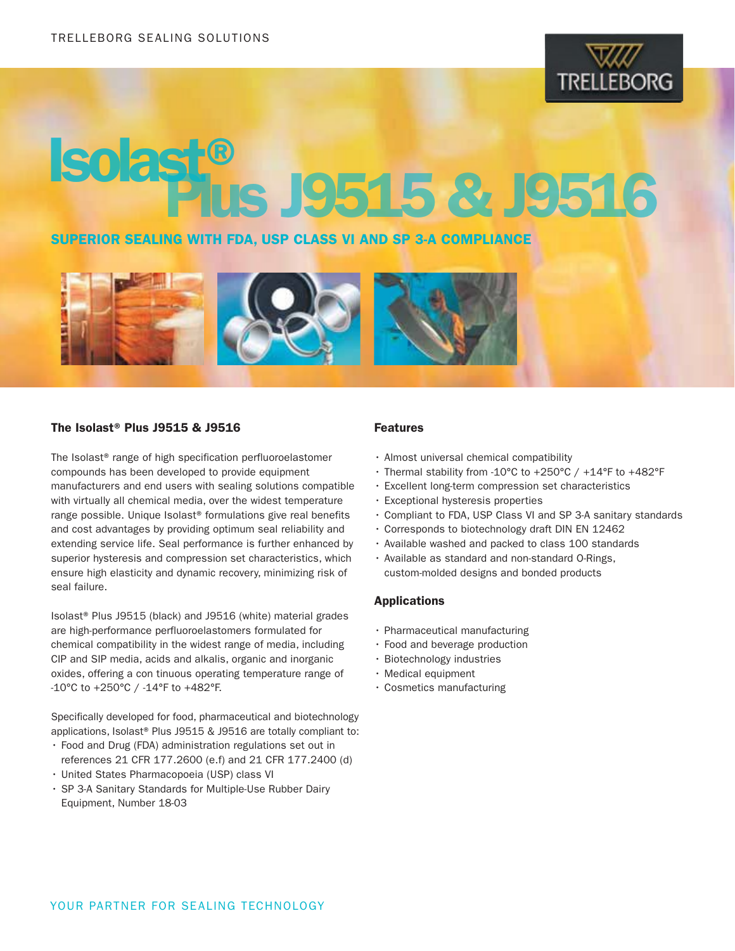

# Isolast®Plus J9515 & J9516

# SUPERIOR SEALING WITH FDA, USP CLASS VI AND SP 3-A COMPLIANCE



### The Isolast® Plus J9515 & J9516

The Isolast® range of high specification perfluoroelastomer compounds has been developed to provide equipment manufacturers and end users with sealing solutions compatible with virtually all chemical media, over the widest temperature range possible. Unique Isolast® formulations give real benefits and cost advantages by providing optimum seal reliability and extending service life. Seal performance is further enhanced by superior hysteresis and compression set characteristics, which ensure high elasticity and dynamic recovery, minimizing risk of seal failure.

Isolast® Plus J9515 (black) and J9516 (white) material grades are high-performance perfluoroelastomers formulated for chemical compatibility in the widest range of media, including CIP and SIP media, acids and alkalis, organic and inorganic oxides, offering a con tinuous operating temperature range of -10°C to +250°C / -14°F to +482°F.

Specifically developed for food, pharmaceutical and biotechnology applications, Isolast® Plus J9515 & J9516 are totally compliant to:

- • Food and Drug (FDA) administration regulations set out in references 21 CFR 177.2600 (e.f) and 21 CFR 177.2400 (d)
- • United States Pharmacopoeia (USP) class VI
- • SP 3-A Sanitary Standards for Multiple-Use Rubber Dairy Equipment, Number 18-03

### Features

- • Almost universal chemical compatibility
- Thermal stability from -10°C to +250°C / +14°F to +482°F
- • Excellent long-term compression set characteristics
- Exceptional hysteresis properties
- • Compliant to FDA, USP Class VI and SP 3-A sanitary standards
- • Corresponds to biotechnology draft DIN EN 12462
- • Available washed and packed to class 100 standards
- Available as standard and non-standard O-Rings, custom-molded designs and bonded products

### Applications

- $\cdot$  Pharmaceutical manufacturing
- • Food and beverage production
- • Biotechnology industries
- • Medical equipment
- • Cosmetics manufacturing